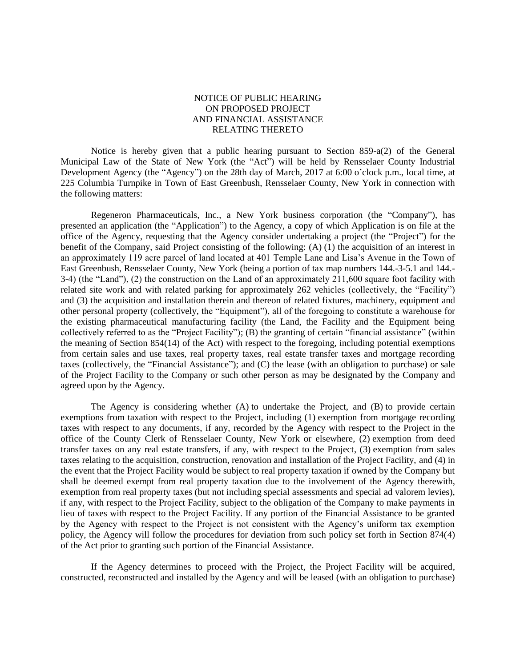## NOTICE OF PUBLIC HEARING ON PROPOSED PROJECT AND FINANCIAL ASSISTANCE RELATING THERETO

Notice is hereby given that a public hearing pursuant to Section  $859-a(2)$  of the General Municipal Law of the State of New York (the "Act") will be held by Rensselaer County Industrial Development Agency (the "Agency") on the 28th day of March, 2017 at 6:00 o'clock p.m., local time, at 225 Columbia Turnpike in Town of East Greenbush, Rensselaer County, New York in connection with the following matters:

Regeneron Pharmaceuticals, Inc., a New York business corporation (the "Company"), has presented an application (the "Application") to the Agency, a copy of which Application is on file at the office of the Agency, requesting that the Agency consider undertaking a project (the "Project") for the benefit of the Company, said Project consisting of the following: (A) (1) the acquisition of an interest in an approximately 119 acre parcel of land located at 401 Temple Lane and Lisa's Avenue in the Town of East Greenbush, Rensselaer County, New York (being a portion of tax map numbers 144.-3-5.1 and 144.- 3-4) (the "Land"), (2) the construction on the Land of an approximately 211,600 square foot facility with related site work and with related parking for approximately 262 vehicles (collectively, the "Facility") and (3) the acquisition and installation therein and thereon of related fixtures, machinery, equipment and other personal property (collectively, the "Equipment"), all of the foregoing to constitute a warehouse for the existing pharmaceutical manufacturing facility (the Land, the Facility and the Equipment being collectively referred to as the "Project Facility"); (B) the granting of certain "financial assistance" (within the meaning of Section 854(14) of the Act) with respect to the foregoing, including potential exemptions from certain sales and use taxes, real property taxes, real estate transfer taxes and mortgage recording taxes (collectively, the "Financial Assistance"); and (C) the lease (with an obligation to purchase) or sale of the Project Facility to the Company or such other person as may be designated by the Company and agreed upon by the Agency.

The Agency is considering whether (A) to undertake the Project, and (B) to provide certain exemptions from taxation with respect to the Project, including (1) exemption from mortgage recording taxes with respect to any documents, if any, recorded by the Agency with respect to the Project in the office of the County Clerk of Rensselaer County, New York or elsewhere, (2) exemption from deed transfer taxes on any real estate transfers, if any, with respect to the Project, (3) exemption from sales taxes relating to the acquisition, construction, renovation and installation of the Project Facility, and (4) in the event that the Project Facility would be subject to real property taxation if owned by the Company but shall be deemed exempt from real property taxation due to the involvement of the Agency therewith, exemption from real property taxes (but not including special assessments and special ad valorem levies), if any, with respect to the Project Facility, subject to the obligation of the Company to make payments in lieu of taxes with respect to the Project Facility. If any portion of the Financial Assistance to be granted by the Agency with respect to the Project is not consistent with the Agency's uniform tax exemption policy, the Agency will follow the procedures for deviation from such policy set forth in Section 874(4) of the Act prior to granting such portion of the Financial Assistance.

If the Agency determines to proceed with the Project, the Project Facility will be acquired, constructed, reconstructed and installed by the Agency and will be leased (with an obligation to purchase)